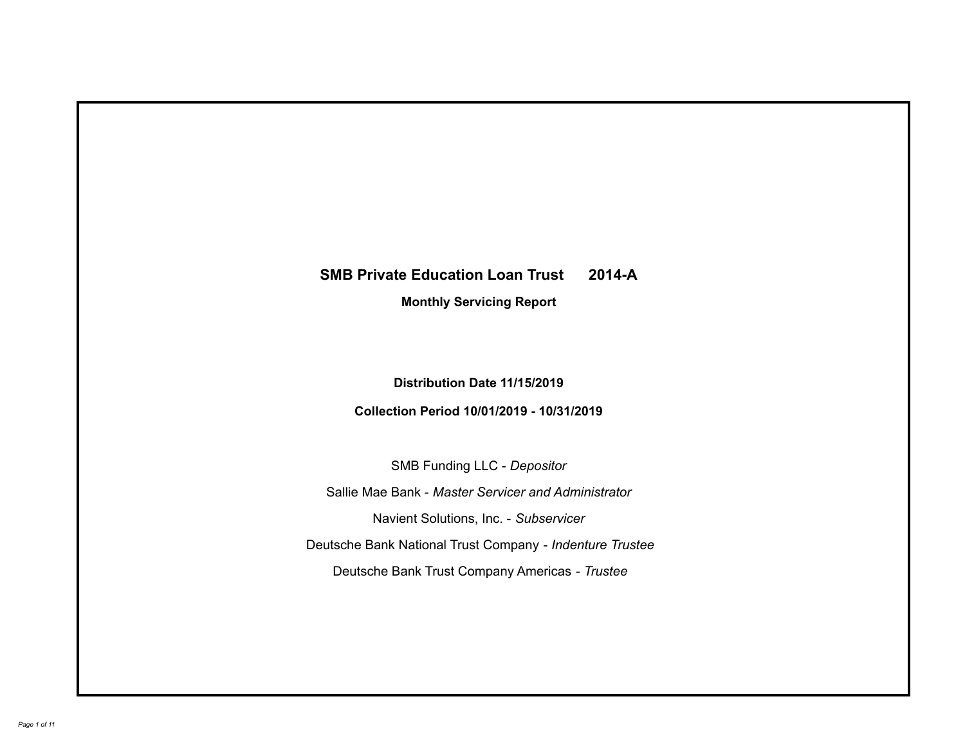# **SMB Private Education Loan Trust 2014-A Monthly Servicing Report**

# **Distribution Date 11/15/2019**

# **Collection Period 10/01/2019 - 10/31/2019**

SMB Funding LLC - *Depositor*

Sallie Mae Bank - *Master Servicer and Administrator*

Navient Solutions, Inc. - *Subservicer*

Deutsche Bank National Trust Company - *Indenture Trustee*

Deutsche Bank Trust Company Americas - *Trustee*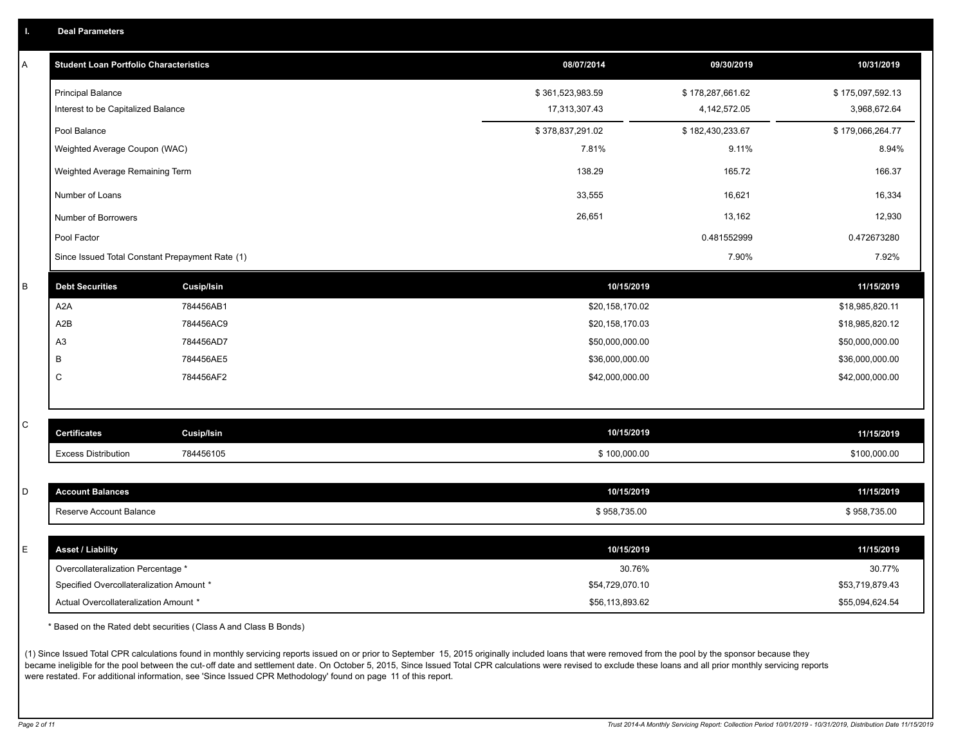| A | <b>Student Loan Portfolio Characteristics</b> |                                                 | 08/07/2014       | 09/30/2019       | 10/31/2019       |
|---|-----------------------------------------------|-------------------------------------------------|------------------|------------------|------------------|
|   | <b>Principal Balance</b>                      |                                                 | \$361,523,983.59 | \$178,287,661.62 | \$175,097,592.13 |
|   | Interest to be Capitalized Balance            |                                                 | 17,313,307.43    | 4, 142, 572.05   | 3,968,672.64     |
|   | Pool Balance                                  |                                                 | \$378,837,291.02 | \$182,430,233.67 | \$179,066,264.77 |
|   | Weighted Average Coupon (WAC)                 |                                                 | 7.81%            | 9.11%            | 8.94%            |
|   | Weighted Average Remaining Term               |                                                 | 138.29           | 165.72           | 166.37           |
|   | Number of Loans                               |                                                 | 33,555           | 16,621           | 16,334           |
|   | Number of Borrowers                           |                                                 | 26,651           | 13,162           | 12,930           |
|   | Pool Factor                                   |                                                 |                  | 0.481552999      | 0.472673280      |
|   |                                               | Since Issued Total Constant Prepayment Rate (1) |                  | 7.90%            | 7.92%            |
| B | <b>Debt Securities</b>                        | Cusip/Isin                                      | 10/15/2019       |                  | 11/15/2019       |
|   | A <sub>2</sub> A                              | 784456AB1                                       | \$20,158,170.02  |                  | \$18,985,820.11  |
|   | A <sub>2</sub> B                              | 784456AC9                                       | \$20,158,170.03  |                  | \$18,985,820.12  |
|   | A3                                            | 784456AD7                                       | \$50,000,000.00  |                  | \$50,000,000.00  |
|   | B                                             | 784456AE5                                       | \$36,000,000.00  |                  | \$36,000,000.00  |
|   | C                                             | 784456AF2                                       | \$42,000,000.00  |                  | \$42,000,000.00  |
|   |                                               |                                                 |                  |                  |                  |
| С | <b>Certificates</b>                           | Cusip/Isin                                      | 10/15/2019       |                  | 11/15/2019       |
|   | <b>Excess Distribution</b>                    | 784456105                                       | \$100,000.00     |                  | \$100,000.00     |
|   |                                               |                                                 |                  |                  |                  |
| D | <b>Account Balances</b>                       |                                                 | 10/15/2019       |                  | 11/15/2019       |
|   | Reserve Account Balance                       |                                                 | \$958,735.00     |                  | \$958,735.00     |
|   |                                               |                                                 |                  |                  |                  |
| E | <b>Asset / Liability</b>                      |                                                 | 10/15/2019       |                  | 11/15/2019       |
|   | Overcollateralization Percentage *            |                                                 | 30.76%           |                  | 30.77%           |
|   | Specified Overcollateralization Amount *      |                                                 | \$54,729,070.10  |                  | \$53,719,879.43  |
|   | Actual Overcollateralization Amount *         |                                                 | \$56,113,893.62  |                  | \$55,094,624.54  |

\* Based on the Rated debt securities (Class A and Class B Bonds)

(1) Since Issued Total CPR calculations found in monthly servicing reports issued on or prior to September 15, 2015 originally included loans that were removed from the pool by the sponsor because they became ineligible for the pool between the cut-off date and settlement date. On October 5, 2015, Since Issued Total CPR calculations were revised to exclude these loans and all prior monthly servicing reports were restated. For additional information, see 'Since Issued CPR Methodology' found on page 11 of this report.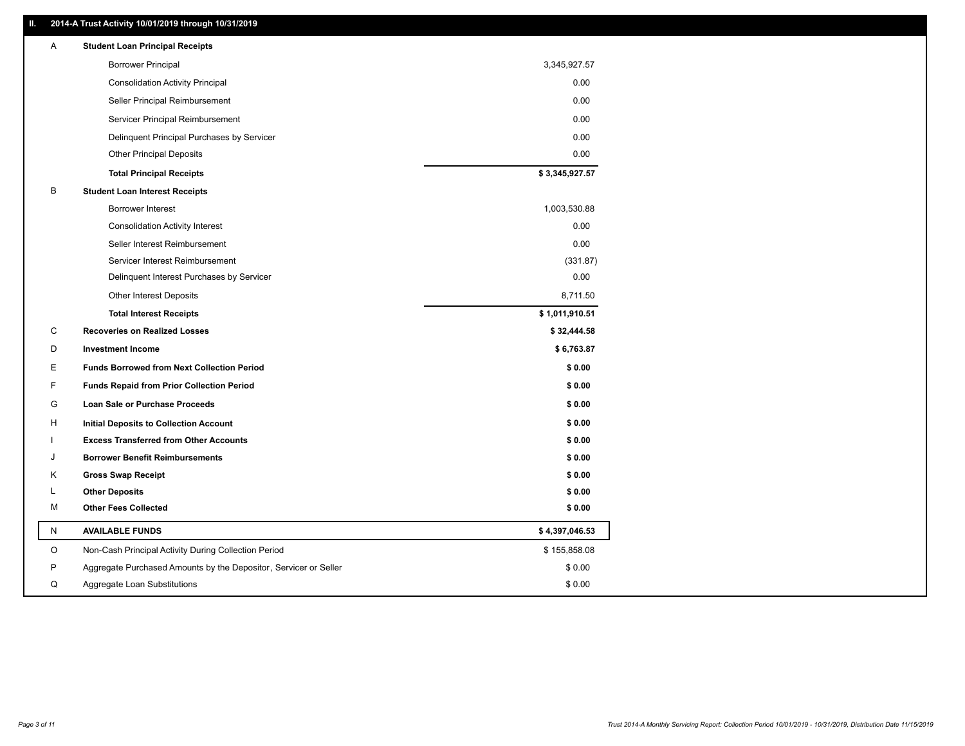### **II. 2014-A Trust Activity 10/01/2019 through 10/31/2019**

| <b>Borrower Principal</b><br>3,345,927.57                                       |  |
|---------------------------------------------------------------------------------|--|
| <b>Consolidation Activity Principal</b><br>0.00                                 |  |
| 0.00<br>Seller Principal Reimbursement                                          |  |
| 0.00<br>Servicer Principal Reimbursement                                        |  |
| 0.00<br>Delinquent Principal Purchases by Servicer                              |  |
| <b>Other Principal Deposits</b><br>0.00                                         |  |
| \$3,345,927.57<br><b>Total Principal Receipts</b>                               |  |
| В<br><b>Student Loan Interest Receipts</b>                                      |  |
| <b>Borrower Interest</b><br>1,003,530.88                                        |  |
| <b>Consolidation Activity Interest</b><br>0.00                                  |  |
| Seller Interest Reimbursement<br>0.00                                           |  |
| Servicer Interest Reimbursement<br>(331.87)                                     |  |
| 0.00<br>Delinquent Interest Purchases by Servicer                               |  |
| 8,711.50<br><b>Other Interest Deposits</b>                                      |  |
| \$1,011,910.51<br><b>Total Interest Receipts</b>                                |  |
| С<br><b>Recoveries on Realized Losses</b><br>\$32,444.58                        |  |
| D<br><b>Investment Income</b><br>\$6,763.87                                     |  |
| E.<br><b>Funds Borrowed from Next Collection Period</b><br>\$0.00               |  |
| F<br><b>Funds Repaid from Prior Collection Period</b><br>\$0.00                 |  |
| G<br>\$0.00<br>Loan Sale or Purchase Proceeds                                   |  |
| \$0.00<br>H<br>Initial Deposits to Collection Account                           |  |
| <b>Excess Transferred from Other Accounts</b><br>\$0.00                         |  |
| <b>Borrower Benefit Reimbursements</b><br>\$0.00<br>J                           |  |
| Κ<br><b>Gross Swap Receipt</b><br>\$0.00                                        |  |
| <b>Other Deposits</b><br>\$0.00<br>L                                            |  |
| <b>Other Fees Collected</b><br>М<br>\$0.00                                      |  |
| Ν<br><b>AVAILABLE FUNDS</b><br>\$4,397,046.53                                   |  |
| O<br>Non-Cash Principal Activity During Collection Period<br>\$155,858.08       |  |
| \$0.00<br>P<br>Aggregate Purchased Amounts by the Depositor, Servicer or Seller |  |
| Aggregate Loan Substitutions<br>\$0.00<br>Q                                     |  |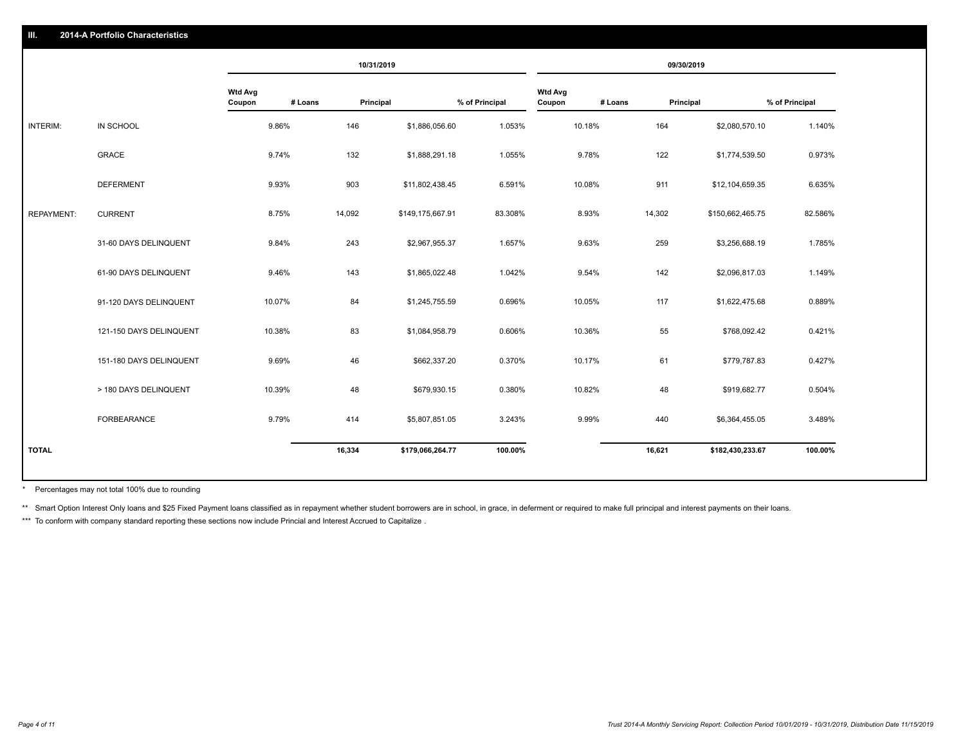|                   |                         |                          |         | 10/31/2019 |                  |                |                          |         | 09/30/2019 |                  |                |
|-------------------|-------------------------|--------------------------|---------|------------|------------------|----------------|--------------------------|---------|------------|------------------|----------------|
|                   |                         | <b>Wtd Avg</b><br>Coupon | # Loans | Principal  |                  | % of Principal | <b>Wtd Avg</b><br>Coupon | # Loans | Principal  |                  | % of Principal |
| INTERIM:          | IN SCHOOL               |                          | 9.86%   | 146        | \$1,886,056.60   | 1.053%         |                          | 10.18%  | 164        | \$2,080,570.10   | 1.140%         |
|                   | <b>GRACE</b>            |                          | 9.74%   | 132        | \$1,888,291.18   | 1.055%         |                          | 9.78%   | 122        | \$1,774,539.50   | 0.973%         |
|                   | <b>DEFERMENT</b>        |                          | 9.93%   | 903        | \$11,802,438.45  | 6.591%         |                          | 10.08%  | 911        | \$12,104,659.35  | 6.635%         |
| <b>REPAYMENT:</b> | <b>CURRENT</b>          |                          | 8.75%   | 14,092     | \$149,175,667.91 | 83.308%        |                          | 8.93%   | 14,302     | \$150,662,465.75 | 82.586%        |
|                   | 31-60 DAYS DELINQUENT   |                          | 9.84%   | 243        | \$2,967,955.37   | 1.657%         |                          | 9.63%   | 259        | \$3,256,688.19   | 1.785%         |
|                   | 61-90 DAYS DELINQUENT   |                          | 9.46%   | 143        | \$1,865,022.48   | 1.042%         |                          | 9.54%   | 142        | \$2,096,817.03   | 1.149%         |
|                   | 91-120 DAYS DELINQUENT  |                          | 10.07%  | 84         | \$1,245,755.59   | 0.696%         |                          | 10.05%  | 117        | \$1,622,475.68   | 0.889%         |
|                   | 121-150 DAYS DELINQUENT |                          | 10.38%  | 83         | \$1,084,958.79   | 0.606%         |                          | 10.36%  | 55         | \$768,092.42     | 0.421%         |
|                   | 151-180 DAYS DELINQUENT |                          | 9.69%   | 46         | \$662,337.20     | 0.370%         |                          | 10.17%  | 61         | \$779,787.83     | 0.427%         |
|                   | > 180 DAYS DELINQUENT   |                          | 10.39%  | 48         | \$679,930.15     | 0.380%         |                          | 10.82%  | 48         | \$919,682.77     | 0.504%         |
|                   | <b>FORBEARANCE</b>      |                          | 9.79%   | 414        | \$5,807,851.05   | 3.243%         |                          | 9.99%   | 440        | \$6,364,455.05   | 3.489%         |
| <b>TOTAL</b>      |                         |                          |         | 16,334     | \$179,066,264.77 | 100.00%        |                          |         | 16,621     | \$182,430,233.67 | 100.00%        |

Percentages may not total 100% due to rounding \*

\*\* Smart Option Interest Only loans and \$25 Fixed Payment loans classified as in repayment whether student borrowers are in school, in grace, in deferment or required to make full principal and interest payments on their l

\*\*\* To conform with company standard reporting these sections now include Princial and Interest Accrued to Capitalize.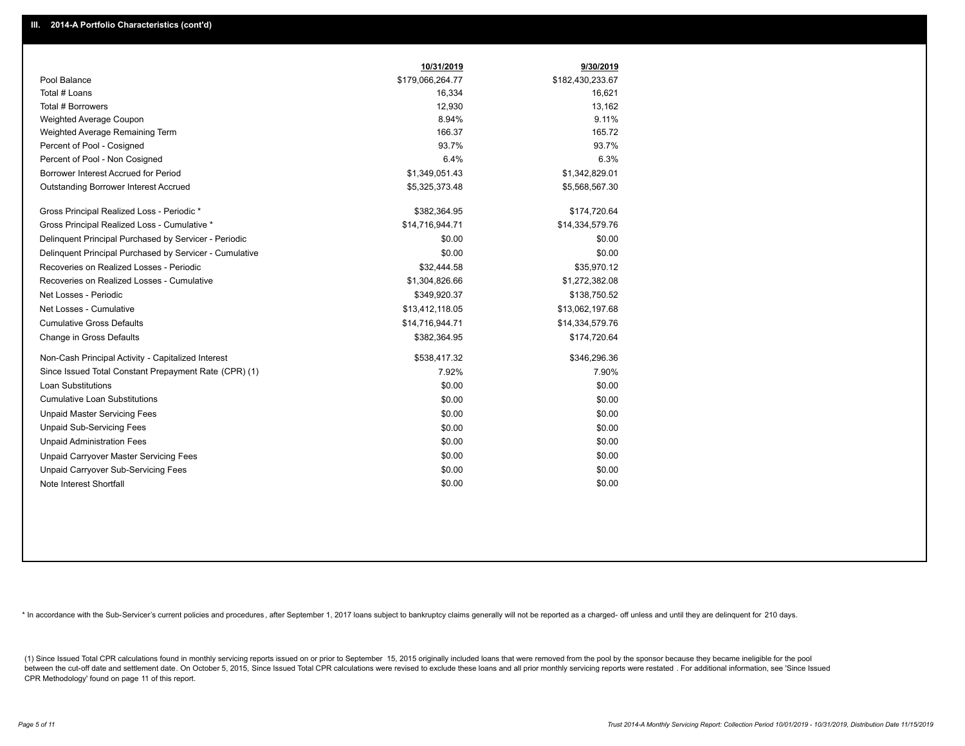|                                                         | 10/31/2019       | 9/30/2019        |
|---------------------------------------------------------|------------------|------------------|
| Pool Balance                                            | \$179,066,264.77 | \$182,430,233.67 |
| Total # Loans                                           | 16,334           | 16,621           |
| Total # Borrowers                                       | 12,930           | 13,162           |
| Weighted Average Coupon                                 | 8.94%            | 9.11%            |
| Weighted Average Remaining Term                         | 166.37           | 165.72           |
| Percent of Pool - Cosigned                              | 93.7%            | 93.7%            |
| Percent of Pool - Non Cosigned                          | 6.4%             | 6.3%             |
| Borrower Interest Accrued for Period                    | \$1,349,051.43   | \$1,342,829.01   |
| Outstanding Borrower Interest Accrued                   | \$5,325,373.48   | \$5,568,567.30   |
| Gross Principal Realized Loss - Periodic *              | \$382,364.95     | \$174,720.64     |
| Gross Principal Realized Loss - Cumulative *            | \$14,716,944.71  | \$14,334,579.76  |
| Delinquent Principal Purchased by Servicer - Periodic   | \$0.00           | \$0.00           |
| Delinquent Principal Purchased by Servicer - Cumulative | \$0.00           | \$0.00           |
| Recoveries on Realized Losses - Periodic                | \$32,444.58      | \$35,970.12      |
| Recoveries on Realized Losses - Cumulative              | \$1,304,826.66   | \$1,272,382.08   |
| Net Losses - Periodic                                   | \$349,920.37     | \$138,750.52     |
| Net Losses - Cumulative                                 | \$13,412,118.05  | \$13,062,197.68  |
| <b>Cumulative Gross Defaults</b>                        | \$14,716,944.71  | \$14,334,579.76  |
| Change in Gross Defaults                                | \$382,364.95     | \$174,720.64     |
| Non-Cash Principal Activity - Capitalized Interest      | \$538,417.32     | \$346,296.36     |
| Since Issued Total Constant Prepayment Rate (CPR) (1)   | 7.92%            | 7.90%            |
| <b>Loan Substitutions</b>                               | \$0.00           | \$0.00           |
| <b>Cumulative Loan Substitutions</b>                    | \$0.00           | \$0.00           |
| <b>Unpaid Master Servicing Fees</b>                     | \$0.00           | \$0.00           |
| <b>Unpaid Sub-Servicing Fees</b>                        | \$0.00           | \$0.00           |
| <b>Unpaid Administration Fees</b>                       | \$0.00           | \$0.00           |
| Unpaid Carryover Master Servicing Fees                  | \$0.00           | \$0.00           |
| Unpaid Carryover Sub-Servicing Fees                     | \$0.00           | \$0.00           |
| Note Interest Shortfall                                 | \$0.00           | \$0.00           |

\* In accordance with the Sub-Servicer's current policies and procedures, after September 1, 2017 loans subject to bankruptcy claims generally will not be reported as a charged- off unless and until they are delinquent for

(1) Since Issued Total CPR calculations found in monthly servicing reports issued on or prior to September 15, 2015 originally included loans that were removed from the pool by the sponsor because they became ineligible fo between the cut-off date and settlement date. On October 5, 2015, Since Issued Total CPR calculations were revised to exclude these loans and all prior monthly servicing reports were restated. For additional information, s CPR Methodology' found on page 11 of this report.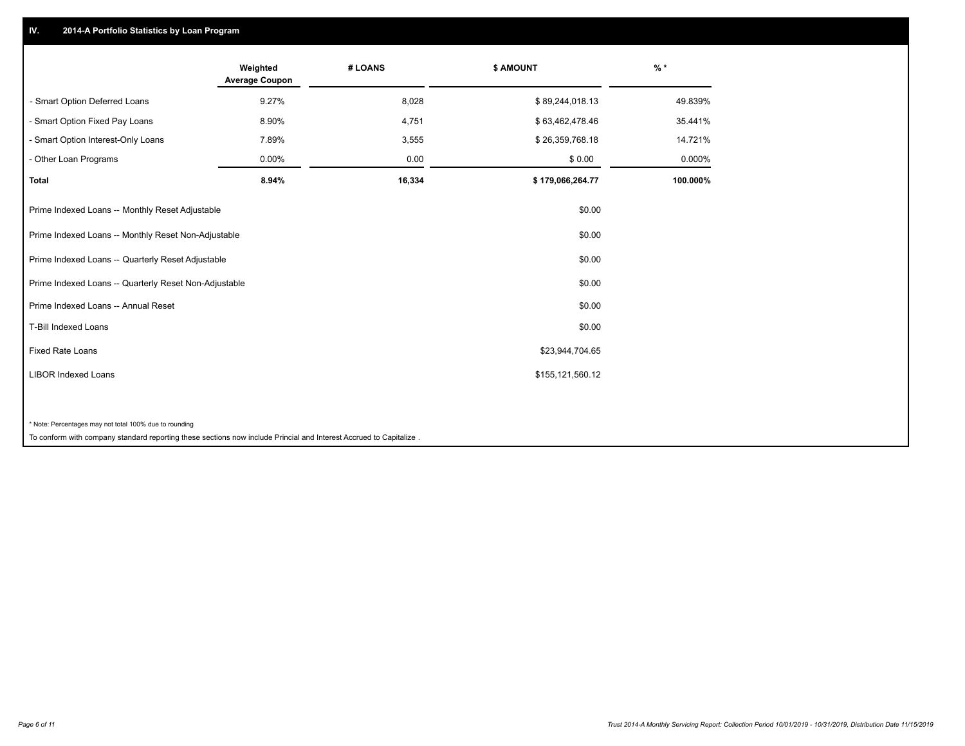## **IV. 2014-A Portfolio Statistics by Loan Program**

|                                                        | Weighted<br><b>Average Coupon</b> | # LOANS | <b>\$ AMOUNT</b> | $%$ *    |
|--------------------------------------------------------|-----------------------------------|---------|------------------|----------|
| - Smart Option Deferred Loans                          | 9.27%                             | 8,028   | \$89,244,018.13  | 49.839%  |
| - Smart Option Fixed Pay Loans                         | 8.90%                             | 4,751   | \$63,462,478.46  | 35.441%  |
| - Smart Option Interest-Only Loans                     | 7.89%                             | 3,555   | \$26,359,768.18  | 14.721%  |
| Other Loan Programs                                    | 0.00%                             | 0.00    | \$0.00           | 0.000%   |
| <b>Total</b>                                           | 8.94%                             | 16,334  | \$179,066,264.77 | 100.000% |
| Prime Indexed Loans -- Monthly Reset Adjustable        |                                   |         | \$0.00           |          |
| Prime Indexed Loans -- Monthly Reset Non-Adjustable    |                                   |         | \$0.00           |          |
| Prime Indexed Loans -- Quarterly Reset Adjustable      |                                   |         | \$0.00           |          |
| Prime Indexed Loans -- Quarterly Reset Non-Adjustable  |                                   |         | \$0.00           |          |
| Prime Indexed Loans -- Annual Reset                    |                                   |         | \$0.00           |          |
| <b>T-Bill Indexed Loans</b>                            |                                   |         | \$0.00           |          |
| <b>Fixed Rate Loans</b>                                |                                   |         | \$23,944,704.65  |          |
| <b>LIBOR Indexed Loans</b>                             |                                   |         | \$155,121,560.12 |          |
|                                                        |                                   |         |                  |          |
| * Note: Percentages may not total 100% due to rounding |                                   |         |                  |          |

To conform with company standard reporting these sections now include Princial and Interest Accrued to Capitalize .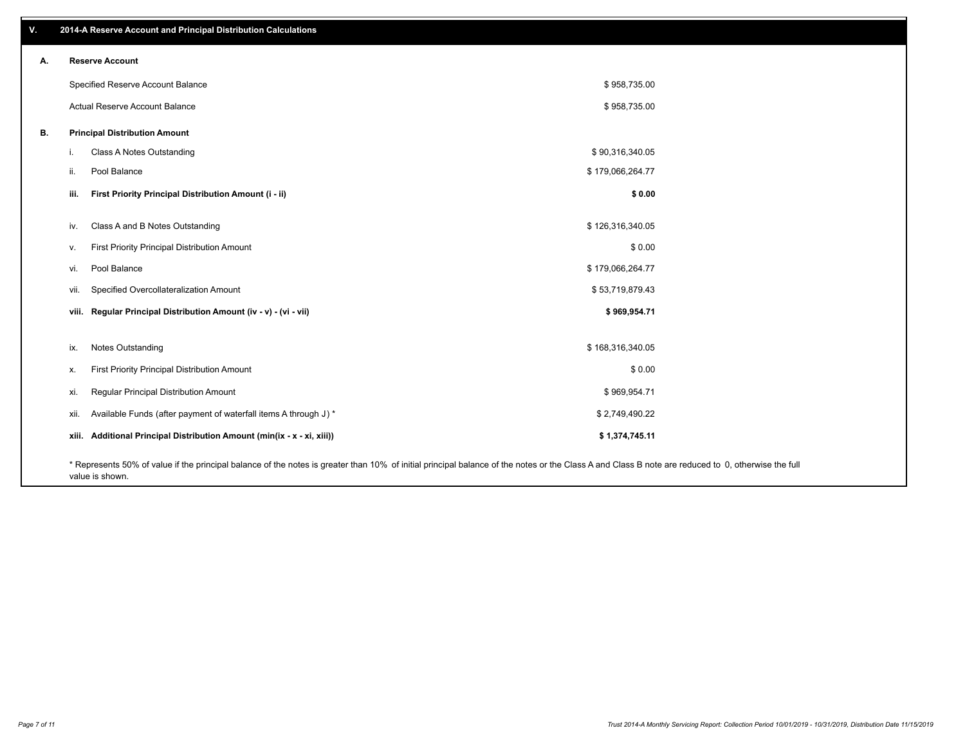| v. | 2014-A Reserve Account and Principal Distribution Calculations                                                                                                                                     |                  |  |
|----|----------------------------------------------------------------------------------------------------------------------------------------------------------------------------------------------------|------------------|--|
| А. | <b>Reserve Account</b>                                                                                                                                                                             |                  |  |
|    | Specified Reserve Account Balance                                                                                                                                                                  | \$958,735.00     |  |
|    | Actual Reserve Account Balance                                                                                                                                                                     | \$958,735.00     |  |
| В. | <b>Principal Distribution Amount</b>                                                                                                                                                               |                  |  |
|    | Class A Notes Outstanding<br>i.                                                                                                                                                                    | \$90,316,340.05  |  |
|    | Pool Balance<br>ii.                                                                                                                                                                                | \$179,066,264.77 |  |
|    | First Priority Principal Distribution Amount (i - ii)<br>iii.                                                                                                                                      | \$0.00           |  |
|    | Class A and B Notes Outstanding<br>iv.                                                                                                                                                             | \$126,316,340.05 |  |
|    | First Priority Principal Distribution Amount<br>v.                                                                                                                                                 | \$0.00           |  |
|    | Pool Balance<br>vi.                                                                                                                                                                                | \$179,066,264.77 |  |
|    | Specified Overcollateralization Amount<br>vii.                                                                                                                                                     | \$53,719,879.43  |  |
|    | viii. Regular Principal Distribution Amount (iv - v) - (vi - vii)                                                                                                                                  | \$969,954.71     |  |
|    |                                                                                                                                                                                                    |                  |  |
|    | Notes Outstanding<br>ix.                                                                                                                                                                           | \$168,316,340.05 |  |
|    | First Priority Principal Distribution Amount<br>х.                                                                                                                                                 | \$0.00           |  |
|    | Regular Principal Distribution Amount<br>xi.                                                                                                                                                       | \$969,954.71     |  |
|    | Available Funds (after payment of waterfall items A through J) *<br>xii.                                                                                                                           | \$2,749,490.22   |  |
|    | xiii. Additional Principal Distribution Amount (min(ix - x - xi, xiii))                                                                                                                            | \$1,374,745.11   |  |
|    | * Represents 50% of value if the principal balance of the notes is greater than 10% of initial principal balance of the notes or the Class A and Class B note are reduced to 0, otherwise the full |                  |  |

value is shown.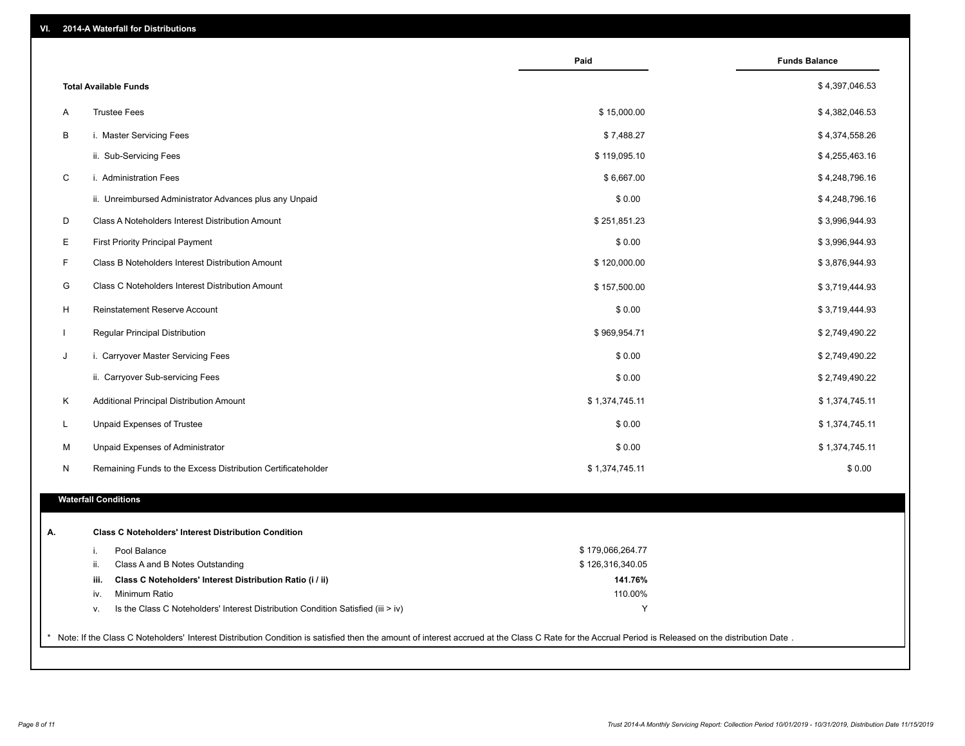|                                                                                                                                                                                                     | Paid             | <b>Funds Balance</b> |
|-----------------------------------------------------------------------------------------------------------------------------------------------------------------------------------------------------|------------------|----------------------|
| <b>Total Available Funds</b>                                                                                                                                                                        |                  | \$4,397,046.53       |
| <b>Trustee Fees</b><br>A                                                                                                                                                                            | \$15,000.00      | \$4,382,046.53       |
| B<br>i. Master Servicing Fees                                                                                                                                                                       | \$7,488.27       | \$4,374,558.26       |
| ii. Sub-Servicing Fees                                                                                                                                                                              | \$119,095.10     | \$4,255,463.16       |
| C<br>i. Administration Fees                                                                                                                                                                         | \$6,667.00       | \$4,248,796.16       |
| ii. Unreimbursed Administrator Advances plus any Unpaid                                                                                                                                             | \$0.00           | \$4,248,796.16       |
| D<br>Class A Noteholders Interest Distribution Amount                                                                                                                                               | \$251,851.23     | \$3,996,944.93       |
| Е<br>First Priority Principal Payment                                                                                                                                                               | \$0.00           | \$3,996,944.93       |
| F<br>Class B Noteholders Interest Distribution Amount                                                                                                                                               | \$120,000.00     | \$3,876,944.93       |
| G<br>Class C Noteholders Interest Distribution Amount                                                                                                                                               | \$157,500.00     | \$3,719,444.93       |
| Reinstatement Reserve Account<br>H                                                                                                                                                                  | \$0.00           | \$3,719,444.93       |
| $\mathbf{L}$<br>Regular Principal Distribution                                                                                                                                                      | \$969,954.71     | \$2,749,490.22       |
| J<br>i. Carryover Master Servicing Fees                                                                                                                                                             | \$0.00           | \$2,749,490.22       |
| ii. Carryover Sub-servicing Fees                                                                                                                                                                    | \$0.00           | \$2,749,490.22       |
| Κ<br>Additional Principal Distribution Amount                                                                                                                                                       | \$1,374,745.11   | \$1,374,745.11       |
| L<br>Unpaid Expenses of Trustee                                                                                                                                                                     | \$0.00           | \$1,374,745.11       |
|                                                                                                                                                                                                     |                  |                      |
| M<br>Unpaid Expenses of Administrator                                                                                                                                                               | \$0.00           | \$1,374,745.11       |
| Remaining Funds to the Excess Distribution Certificateholder<br>N                                                                                                                                   | \$1,374,745.11   | \$0.00               |
| <b>Waterfall Conditions</b>                                                                                                                                                                         |                  |                      |
| <b>Class C Noteholders' Interest Distribution Condition</b><br>А.                                                                                                                                   |                  |                      |
| Pool Balance<br>i.                                                                                                                                                                                  | \$179,066,264.77 |                      |
| Class A and B Notes Outstanding<br>ii.                                                                                                                                                              | \$126,316,340.05 |                      |
| Class C Noteholders' Interest Distribution Ratio (i / ii)<br>iii.                                                                                                                                   | 141.76%          |                      |
| iv.<br>Minimum Ratio                                                                                                                                                                                | 110.00%          |                      |
| Is the Class C Noteholders' Interest Distribution Condition Satisfied (iii > iv)<br>٧.                                                                                                              | Y                |                      |
|                                                                                                                                                                                                     |                  |                      |
| Note: If the Class C Noteholders' Interest Distribution Condition is satisfied then the amount of interest accrued at the Class C Rate for the Accrual Period is Released on the distribution Date. |                  |                      |
|                                                                                                                                                                                                     |                  |                      |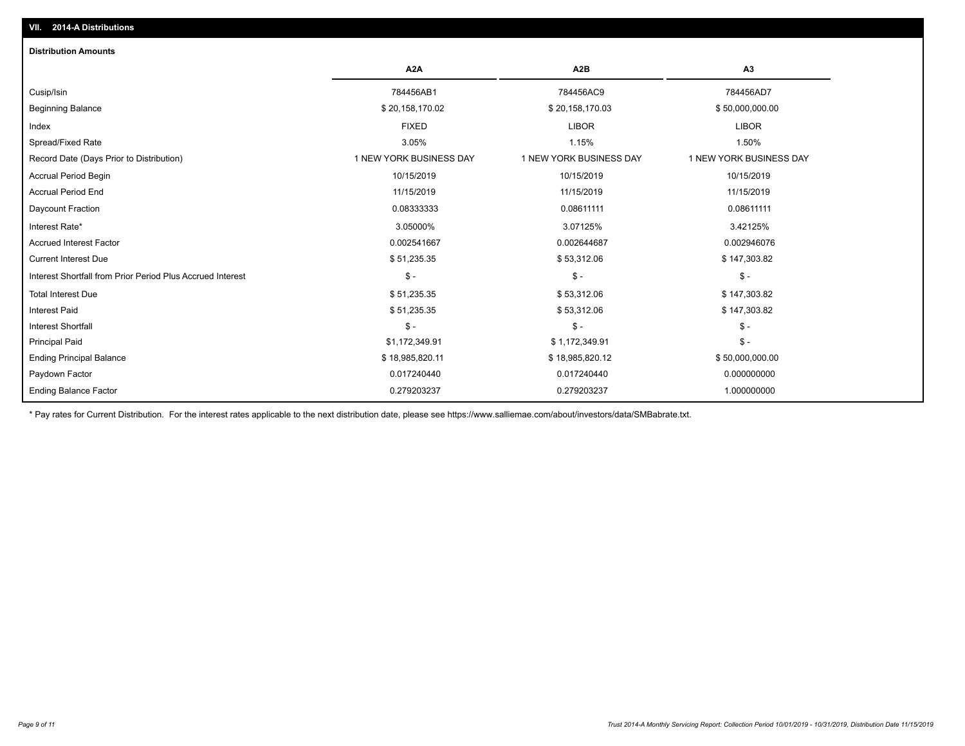| <b>Distribution Amounts</b>                                |                         |                         |                         |
|------------------------------------------------------------|-------------------------|-------------------------|-------------------------|
|                                                            | A <sub>2</sub> A        | A <sub>2</sub> B        | A3                      |
| Cusip/Isin                                                 | 784456AB1               | 784456AC9               | 784456AD7               |
| <b>Beginning Balance</b>                                   | \$20,158,170.02         | \$20,158,170.03         | \$50,000,000.00         |
| Index                                                      | <b>FIXED</b>            | <b>LIBOR</b>            | <b>LIBOR</b>            |
| Spread/Fixed Rate                                          | 3.05%                   | 1.15%                   | 1.50%                   |
| Record Date (Days Prior to Distribution)                   | 1 NEW YORK BUSINESS DAY | 1 NEW YORK BUSINESS DAY | 1 NEW YORK BUSINESS DAY |
| <b>Accrual Period Begin</b>                                | 10/15/2019              | 10/15/2019              | 10/15/2019              |
| <b>Accrual Period End</b>                                  | 11/15/2019              | 11/15/2019              | 11/15/2019              |
| Daycount Fraction                                          | 0.08333333              | 0.08611111              | 0.08611111              |
| Interest Rate*                                             | 3.05000%                | 3.07125%                | 3.42125%                |
| <b>Accrued Interest Factor</b>                             | 0.002541667             | 0.002644687             | 0.002946076             |
| <b>Current Interest Due</b>                                | \$51,235.35             | \$53,312.06             | \$147,303.82            |
| Interest Shortfall from Prior Period Plus Accrued Interest | $\mathsf{\$}$ -         | $$ -$                   | $\mathsf{\$}$ -         |
| <b>Total Interest Due</b>                                  | \$51,235.35             | \$53,312.06             | \$147,303.82            |
| <b>Interest Paid</b>                                       | \$51,235.35             | \$53,312.06             | \$147,303.82            |
| Interest Shortfall                                         | $\frac{1}{2}$           | $\frac{1}{2}$           | $$ -$                   |
| <b>Principal Paid</b>                                      | \$1,172,349.91          | \$1,172,349.91          | $$ -$                   |
| <b>Ending Principal Balance</b>                            | \$18,985,820.11         | \$18,985,820.12         | \$50,000,000.00         |
| Paydown Factor                                             | 0.017240440             | 0.017240440             | 0.000000000             |
| <b>Ending Balance Factor</b>                               | 0.279203237             | 0.279203237             | 1.000000000             |

\* Pay rates for Current Distribution. For the interest rates applicable to the next distribution date, please see https://www.salliemae.com/about/investors/data/SMBabrate.txt.

**VII. 2014-A Distributions**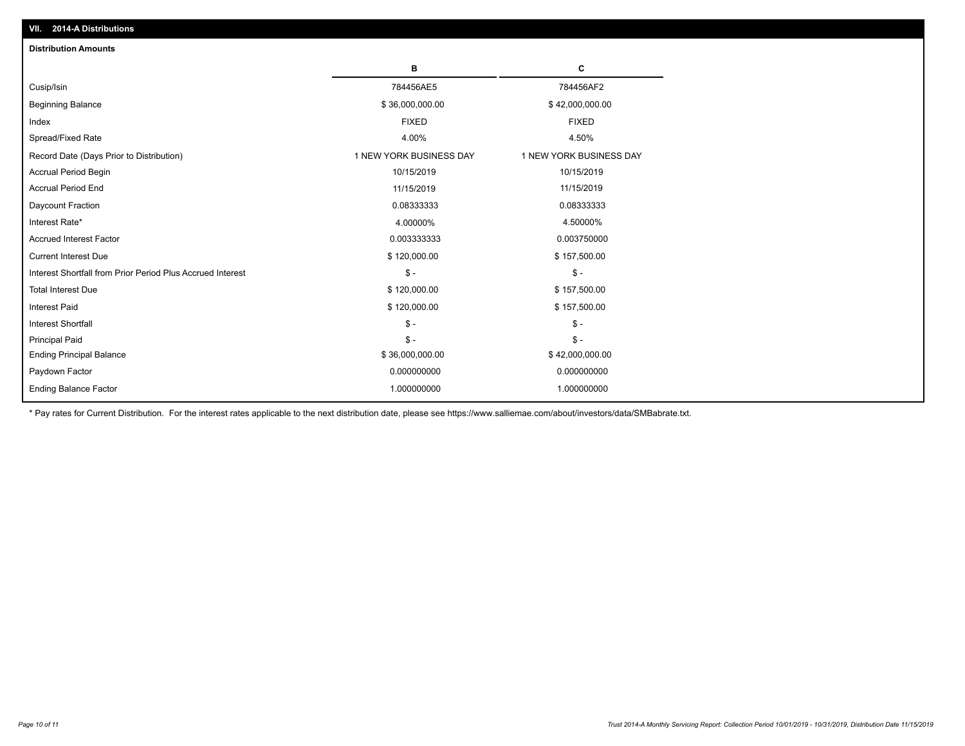| <b>Distribution Amounts</b>                                |                         |                         |
|------------------------------------------------------------|-------------------------|-------------------------|
|                                                            | в                       | C                       |
| Cusip/Isin                                                 | 784456AE5               | 784456AF2               |
| <b>Beginning Balance</b>                                   | \$36,000,000.00         | \$42,000,000.00         |
| Index                                                      | <b>FIXED</b>            | <b>FIXED</b>            |
| Spread/Fixed Rate                                          | 4.00%                   | 4.50%                   |
| Record Date (Days Prior to Distribution)                   | 1 NEW YORK BUSINESS DAY | 1 NEW YORK BUSINESS DAY |
| <b>Accrual Period Begin</b>                                | 10/15/2019              | 10/15/2019              |
| <b>Accrual Period End</b>                                  | 11/15/2019              | 11/15/2019              |
| Daycount Fraction                                          | 0.08333333              | 0.08333333              |
| Interest Rate*                                             | 4.00000%                | 4.50000%                |
| <b>Accrued Interest Factor</b>                             | 0.003333333             | 0.003750000             |
| <b>Current Interest Due</b>                                | \$120,000.00            | \$157,500.00            |
| Interest Shortfall from Prior Period Plus Accrued Interest | $\mathsf{\$}$ -         | $\frac{1}{2}$           |
| <b>Total Interest Due</b>                                  | \$120,000.00            | \$157,500.00            |
| <b>Interest Paid</b>                                       | \$120,000.00            | \$157,500.00            |
| <b>Interest Shortfall</b>                                  | $\mathcal{S}$ -         | $\frac{1}{2}$           |
| <b>Principal Paid</b>                                      | $\mathsf{\$}$ -         | $$ -$                   |
| <b>Ending Principal Balance</b>                            | \$36,000,000.00         | \$42,000,000.00         |
| Paydown Factor                                             | 0.000000000             | 0.000000000             |
| <b>Ending Balance Factor</b>                               | 1.000000000             | 1.000000000             |

\* Pay rates for Current Distribution. For the interest rates applicable to the next distribution date, please see https://www.salliemae.com/about/investors/data/SMBabrate.txt.

**VII. 2014-A Distributions**